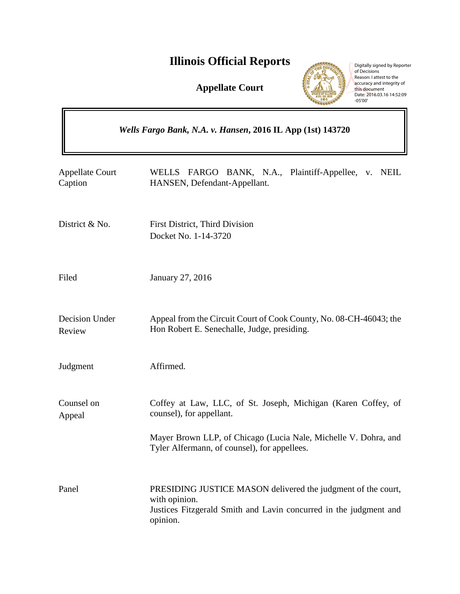# **Illinois Official Reports**

**Appellate Court**



Digitally signed by Reporter<br>of Decisions<br>Reason: I attest to the<br>accuracy and integrity of<br>this document<br>Date: 2016.03.16 14:52:09<br>-05'00'

| Wells Fargo Bank, N.A. v. Hansen, 2016 IL App (1st) 143720 |                                                                                                                                                                                                              |
|------------------------------------------------------------|--------------------------------------------------------------------------------------------------------------------------------------------------------------------------------------------------------------|
| <b>Appellate Court</b><br>Caption                          | FARGO BANK, N.A., Plaintiff-Appellee, v. NEIL<br><b>WELLS</b><br>HANSEN, Defendant-Appellant.                                                                                                                |
| District & No.                                             | First District, Third Division<br>Docket No. 1-14-3720                                                                                                                                                       |
| Filed                                                      | January 27, 2016                                                                                                                                                                                             |
| Decision Under<br>Review                                   | Appeal from the Circuit Court of Cook County, No. 08-CH-46043; the<br>Hon Robert E. Senechalle, Judge, presiding.                                                                                            |
| Judgment                                                   | Affirmed.                                                                                                                                                                                                    |
| Counsel on<br>Appeal                                       | Coffey at Law, LLC, of St. Joseph, Michigan (Karen Coffey, of<br>counsel), for appellant.<br>Mayer Brown LLP, of Chicago (Lucia Nale, Michelle V. Dohra, and<br>Tyler Alfermann, of counsel), for appellees. |
| Panel                                                      | PRESIDING JUSTICE MASON delivered the judgment of the court,<br>with opinion.<br>Justices Fitzgerald Smith and Lavin concurred in the judgment and<br>opinion.                                               |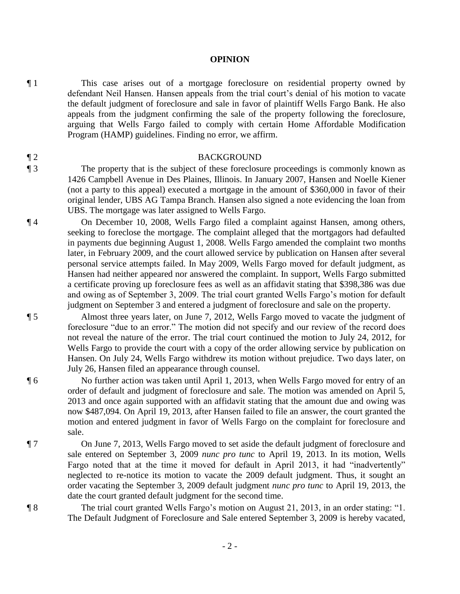**OPINION** 

¶ 1 This case arises out of a mortgage foreclosure on residential property owned by defendant Neil Hansen. Hansen appeals from the trial court's denial of his motion to vacate the default judgment of foreclosure and sale in favor of plaintiff Wells Fargo Bank. He also appeals from the judgment confirming the sale of the property following the foreclosure, arguing that Wells Fargo failed to comply with certain Home Affordable Modification Program (HAMP) guidelines. Finding no error, we affirm.

### ¶ 2 BACKGROUND

¶ 3 The property that is the subject of these foreclosure proceedings is commonly known as 1426 Campbell Avenue in Des Plaines, Illinois. In January 2007, Hansen and Noelle Kiener (not a party to this appeal) executed a mortgage in the amount of \$360,000 in favor of their original lender, UBS AG Tampa Branch. Hansen also signed a note evidencing the loan from UBS. The mortgage was later assigned to Wells Fargo.

¶ 4 On December 10, 2008, Wells Fargo filed a complaint against Hansen, among others, seeking to foreclose the mortgage. The complaint alleged that the mortgagors had defaulted in payments due beginning August 1, 2008. Wells Fargo amended the complaint two months later, in February 2009, and the court allowed service by publication on Hansen after several personal service attempts failed. In May 2009, Wells Fargo moved for default judgment, as Hansen had neither appeared nor answered the complaint. In support, Wells Fargo submitted a certificate proving up foreclosure fees as well as an affidavit stating that \$398,386 was due and owing as of September 3, 2009. The trial court granted Wells Fargo's motion for default judgment on September 3 and entered a judgment of foreclosure and sale on the property.

¶ 5 Almost three years later, on June 7, 2012, Wells Fargo moved to vacate the judgment of foreclosure "due to an error." The motion did not specify and our review of the record does not reveal the nature of the error. The trial court continued the motion to July 24, 2012, for Wells Fargo to provide the court with a copy of the order allowing service by publication on Hansen. On July 24, Wells Fargo withdrew its motion without prejudice. Two days later, on July 26, Hansen filed an appearance through counsel.

¶ 6 No further action was taken until April 1, 2013, when Wells Fargo moved for entry of an order of default and judgment of foreclosure and sale. The motion was amended on April 5, 2013 and once again supported with an affidavit stating that the amount due and owing was now \$487,094. On April 19, 2013, after Hansen failed to file an answer, the court granted the motion and entered judgment in favor of Wells Fargo on the complaint for foreclosure and sale.

¶ 7 On June 7, 2013, Wells Fargo moved to set aside the default judgment of foreclosure and sale entered on September 3, 2009 *nunc pro tunc* to April 19, 2013. In its motion, Wells Fargo noted that at the time it moved for default in April 2013, it had "inadvertently" neglected to re-notice its motion to vacate the 2009 default judgment. Thus, it sought an order vacating the September 3, 2009 default judgment *nunc pro tunc* to April 19, 2013, the date the court granted default judgment for the second time.

¶ 8 The trial court granted Wells Fargo's motion on August 21, 2013, in an order stating: "1. The Default Judgment of Foreclosure and Sale entered September 3, 2009 is hereby vacated,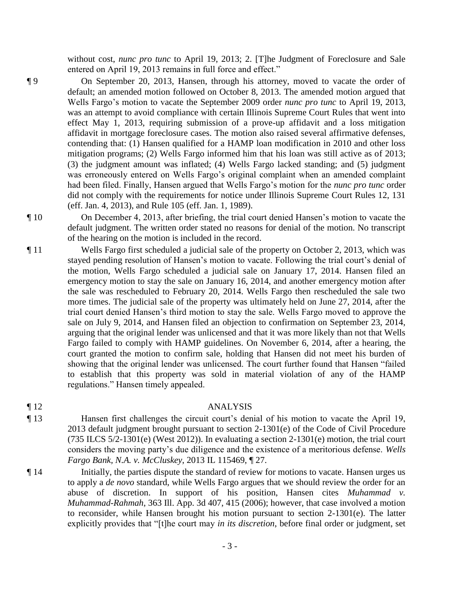without cost, *nunc pro tunc* to April 19, 2013; 2. [T]he Judgment of Foreclosure and Sale entered on April 19, 2013 remains in full force and effect."

¶ 9 On September 20, 2013, Hansen, through his attorney, moved to vacate the order of default; an amended motion followed on October 8, 2013. The amended motion argued that Wells Fargo's motion to vacate the September 2009 order *nunc pro tunc* to April 19, 2013, was an attempt to avoid compliance with certain Illinois Supreme Court Rules that went into effect May 1, 2013, requiring submission of a prove-up affidavit and a loss mitigation affidavit in mortgage foreclosure cases. The motion also raised several affirmative defenses, contending that: (1) Hansen qualified for a HAMP loan modification in 2010 and other loss mitigation programs; (2) Wells Fargo informed him that his loan was still active as of 2013; (3) the judgment amount was inflated; (4) Wells Fargo lacked standing; and (5) judgment was erroneously entered on Wells Fargo's original complaint when an amended complaint had been filed. Finally, Hansen argued that Wells Fargo's motion for the *nunc pro tunc* order did not comply with the requirements for notice under Illinois Supreme Court Rules 12, 131 (eff. Jan. 4, 2013), and Rule 105 (eff. Jan. 1, 1989).

¶ 10 On December 4, 2013, after briefing, the trial court denied Hansen's motion to vacate the default judgment. The written order stated no reasons for denial of the motion. No transcript of the hearing on the motion is included in the record.

¶ 11 Wells Fargo first scheduled a judicial sale of the property on October 2, 2013, which was stayed pending resolution of Hansen's motion to vacate. Following the trial court's denial of the motion, Wells Fargo scheduled a judicial sale on January 17, 2014. Hansen filed an emergency motion to stay the sale on January 16, 2014, and another emergency motion after the sale was rescheduled to February 20, 2014. Wells Fargo then rescheduled the sale two more times. The judicial sale of the property was ultimately held on June 27, 2014, after the trial court denied Hansen's third motion to stay the sale. Wells Fargo moved to approve the sale on July 9, 2014, and Hansen filed an objection to confirmation on September 23, 2014, arguing that the original lender was unlicensed and that it was more likely than not that Wells Fargo failed to comply with HAMP guidelines. On November 6, 2014, after a hearing, the court granted the motion to confirm sale, holding that Hansen did not meet his burden of showing that the original lender was unlicensed. The court further found that Hansen "failed to establish that this property was sold in material violation of any of the HAMP regulations." Hansen timely appealed.

### ¶ 12 ANALYSIS

- ¶ 13 Hansen first challenges the circuit court's denial of his motion to vacate the April 19, 2013 default judgment brought pursuant to section 2-1301(e) of the Code of Civil Procedure (735 ILCS 5/2-1301(e) (West 2012)). In evaluating a section 2-1301(e) motion, the trial court considers the moving party's due diligence and the existence of a meritorious defense. *Wells Fargo Bank, N.A. v. McCluskey*, 2013 IL 115469, ¶ 27.
- ¶ 14 Initially, the parties dispute the standard of review for motions to vacate. Hansen urges us to apply a *de novo* standard, while Wells Fargo argues that we should review the order for an abuse of discretion. In support of his position, Hansen cites *Muhammad v. Muhammad-Rahmah*, 363 Ill. App. 3d 407, 415 (2006); however, that case involved a motion to reconsider, while Hansen brought his motion pursuant to section 2-1301(e). The latter explicitly provides that "[t]he court may *in its discretion*, before final order or judgment, set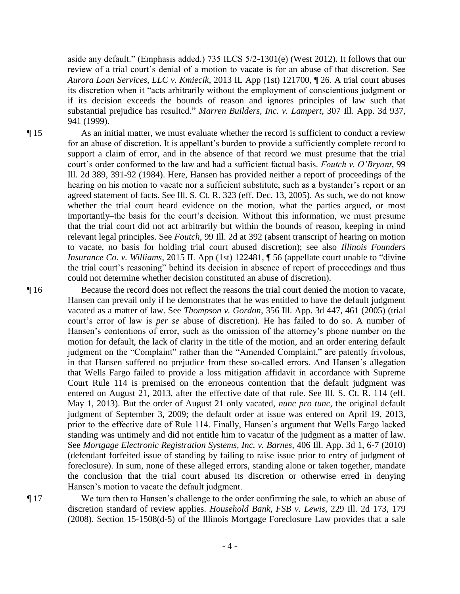aside any default." (Emphasis added.) 735 ILCS 5/2-1301(e) (West 2012). It follows that our review of a trial court's denial of a motion to vacate is for an abuse of that discretion. See *Aurora Loan Services, LLC v. Kmiecik*, 2013 IL App (1st) 121700, ¶ 26. A trial court abuses its discretion when it "acts arbitrarily without the employment of conscientious judgment or if its decision exceeds the bounds of reason and ignores principles of law such that substantial prejudice has resulted." *Marren Builders, Inc. v. Lampert*, 307 Ill. App. 3d 937, 941 (1999).

¶ 15 As an initial matter, we must evaluate whether the record is sufficient to conduct a review for an abuse of discretion. It is appellant's burden to provide a sufficiently complete record to support a claim of error, and in the absence of that record we must presume that the trial court's order conformed to the law and had a sufficient factual basis. *Foutch v. O'Bryant*, 99 Ill. 2d 389, 391-92 (1984). Here, Hansen has provided neither a report of proceedings of the hearing on his motion to vacate nor a sufficient substitute, such as a bystander's report or an agreed statement of facts. See Ill. S. Ct. R. 323 (eff. Dec. 13, 2005). As such, we do not know whether the trial court heard evidence on the motion, what the parties argued, or–most importantly–the basis for the court's decision. Without this information, we must presume that the trial court did not act arbitrarily but within the bounds of reason, keeping in mind relevant legal principles. See *Foutch*, 99 Ill. 2d at 392 (absent transcript of hearing on motion to vacate, no basis for holding trial court abused discretion); see also *Illinois Founders Insurance Co. v. Williams*, 2015 IL App (1st) 122481, ¶ 56 (appellate court unable to "divine the trial court's reasoning" behind its decision in absence of report of proceedings and thus could not determine whether decision constituted an abuse of discretion).

¶ 16 Because the record does not reflect the reasons the trial court denied the motion to vacate, Hansen can prevail only if he demonstrates that he was entitled to have the default judgment vacated as a matter of law. See *Thompson v. Gordon*, 356 Ill. App. 3d 447, 461 (2005) (trial court's error of law is *per se* abuse of discretion). He has failed to do so. A number of Hansen's contentions of error, such as the omission of the attorney's phone number on the motion for default, the lack of clarity in the title of the motion, and an order entering default judgment on the "Complaint" rather than the "Amended Complaint," are patently frivolous, in that Hansen suffered no prejudice from these so-called errors. And Hansen's allegation that Wells Fargo failed to provide a loss mitigation affidavit in accordance with Supreme Court Rule 114 is premised on the erroneous contention that the default judgment was entered on August 21, 2013, after the effective date of that rule. See Ill. S. Ct. R. 114 (eff. May 1, 2013). But the order of August 21 only vacated, *nunc pro tunc*, the original default judgment of September 3, 2009; the default order at issue was entered on April 19, 2013, prior to the effective date of Rule 114. Finally, Hansen's argument that Wells Fargo lacked standing was untimely and did not entitle him to vacatur of the judgment as a matter of law. See *Mortgage Electronic Registration Systems, Inc. v. Barnes*, 406 Ill. App. 3d 1, 6-7 (2010) (defendant forfeited issue of standing by failing to raise issue prior to entry of judgment of foreclosure). In sum, none of these alleged errors, standing alone or taken together, mandate the conclusion that the trial court abused its discretion or otherwise erred in denying Hansen's motion to vacate the default judgment.

¶ 17 We turn then to Hansen's challenge to the order confirming the sale, to which an abuse of discretion standard of review applies. *Household Bank, FSB v. Lewis*, 229 Ill. 2d 173, 179 (2008). Section 15-1508(d-5) of the Illinois Mortgage Foreclosure Law provides that a sale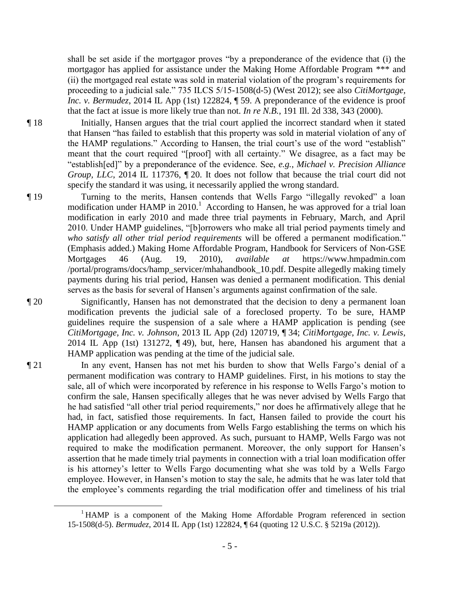shall be set aside if the mortgagor proves "by a preponderance of the evidence that (i) the mortgagor has applied for assistance under the Making Home Affordable Program \*\*\* and (ii) the mortgaged real estate was sold in material violation of the program's requirements for proceeding to a judicial sale." 735 ILCS 5/15-1508(d-5) (West 2012); see also *CitiMortgage, Inc. v. Bermudez*, 2014 IL App (1st) 122824,  $\parallel$  59. A preponderance of the evidence is proof that the fact at issue is more likely true than not. *In re N.B.*, 191 Ill. 2d 338, 343 (2000).

¶ 18 Initially, Hansen argues that the trial court applied the incorrect standard when it stated that Hansen "has failed to establish that this property was sold in material violation of any of the HAMP regulations." According to Hansen, the trial court's use of the word "establish" meant that the court required "[proof] with all certainty." We disagree, as a fact may be "establish[ed]" by a preponderance of the evidence. See, *e.g.*, *Michael v. Precision Alliance Group, LLC*, 2014 IL 117376,  $\P$  20. It does not follow that because the trial court did not specify the standard it was using, it necessarily applied the wrong standard.

¶ 19 Turning to the merits, Hansen contends that Wells Fargo "illegally revoked" a loan modification under HAMP in 2010.<sup>1</sup> According to Hansen, he was approved for a trial loan modification in early 2010 and made three trial payments in February, March, and April 2010. Under HAMP guidelines, "[b]orrowers who make all trial period payments timely and *who satisfy all other trial period requirements* will be offered a permanent modification." (Emphasis added.) Making Home Affordable Program, Handbook for Servicers of Non-GSE Mortgages 46 (Aug. 19, 2010), *available at* https://www.hmpadmin.com /portal/programs/docs/hamp\_servicer/mhahandbook\_10.pdf. Despite allegedly making timely payments during his trial period, Hansen was denied a permanent modification. This denial serves as the basis for several of Hansen's arguments against confirmation of the sale.

¶ 20 Significantly, Hansen has not demonstrated that the decision to deny a permanent loan modification prevents the judicial sale of a foreclosed property. To be sure, HAMP guidelines require the suspension of a sale where a HAMP application is pending (see *CitiMortgage, Inc. v. Johnson*, 2013 IL App (2d) 120719, ¶ 34; *CitiMortgage, Inc. v. Lewis*, 2014 IL App (1st) 131272, ¶ 49), but, here, Hansen has abandoned his argument that a HAMP application was pending at the time of the judicial sale.

¶ 21 In any event, Hansen has not met his burden to show that Wells Fargo's denial of a permanent modification was contrary to HAMP guidelines. First, in his motions to stay the sale, all of which were incorporated by reference in his response to Wells Fargo's motion to confirm the sale, Hansen specifically alleges that he was never advised by Wells Fargo that he had satisfied "all other trial period requirements," nor does he affirmatively allege that he had, in fact, satisfied those requirements. In fact, Hansen failed to provide the court his HAMP application or any documents from Wells Fargo establishing the terms on which his application had allegedly been approved. As such, pursuant to HAMP, Wells Fargo was not required to make the modification permanent. Moreover, the only support for Hansen's assertion that he made timely trial payments in connection with a trial loan modification offer is his attorney's letter to Wells Fargo documenting what she was told by a Wells Fargo employee. However, in Hansen's motion to stay the sale, he admits that he was later told that the employee's comments regarding the trial modification offer and timeliness of his trial

 $\overline{a}$ 

<sup>&</sup>lt;sup>1</sup> HAMP is a component of the Making Home Affordable Program referenced in section 15-1508(d-5). *Bermudez*, 2014 IL App (1st) 122824, ¶ 64 (quoting 12 U.S.C. § 5219a (2012)).